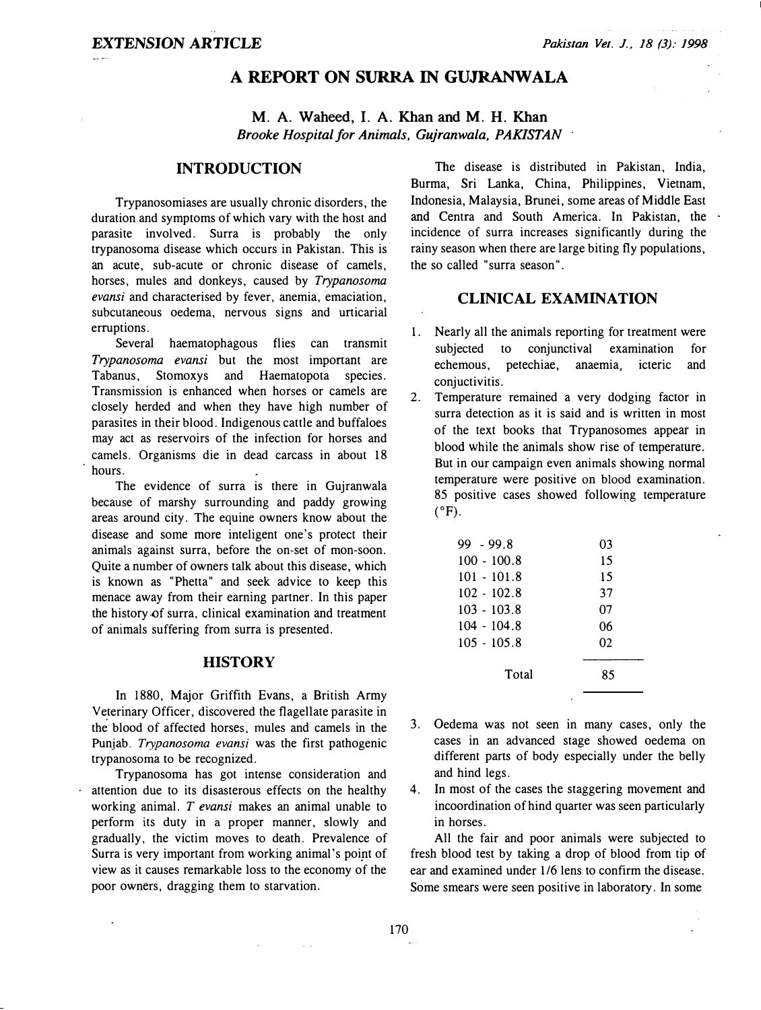# A REPORT ON SURRA IN GUJRANWALA

M. A. Waheed, I. A. Khan and M. H. Khan Brooke Hospital for Animals, Gujranwala, PAKISTAN

# INTRODUCTION

Trypanosomiases are usually chronic disorders, the duration and symptoms of which vary with the host and parasite involved. Surra is probably the only trypanosoma disease which occurs in Pakistan. This is· an acute, sub-acute or chronic disease of camels, horses, mules and donkeys, caused by Trypanosoma evansi and characterised by fever, anemia, emaciation, subcutaneous oedema, nervous signs and urticarial erruptions.

Several haematophagous flies can transmit Trypanosoma evansi but the most important are Tabanus, Stomoxys and Haematopota species. Transmission is enhanced when horses or camels are closely herded and when they have high number of parasites in their blood. Indigenous cattle and buffaloes may act as reservoirs of the infection for horses and camels. Organisms die in dead carcass in about 18 hours.

The evidence of surra is there in Gujranwala because of marshy surrounding and paddy growing areas around city. The equine owners know about the disease and some more inteligent one's protect their animals against surra, before the on-set of mon-soon. Quite a number of owners talk about this disease, which is known as "Phetta" and seek advice to keep this menace away from their earning partner. In this paper the history of surra, clinical examination and treatment of animals suffering from surra is presented.

## **HISTORY**

In 1880, Major Griffith Evans, a British Army Veterinary Officer, discovered the flagellate parasite in the blood of affected horses, mules and camels in the Punjab. Trypanosoma evansi was the first pathogenic trypanosoma to be recognized.

Trypanosoma has got intense consideration and attention due to its disasterous effects on the healthy working animal.  $T$  evansi makes an animal unable to perform its duty in a proper manner, slowly and gradually, the victim moves to death. Prevalence of Surra is very important from working animal's point of view as it causes remarkable loss to the economy of the poor owners, dragging them to starvation.

The disease is distributed in Pakistan, India, Burma, Sri Lanka, China, Philippines, Vietnam, Indonesia, Malaysia, Brunei, some areas of Middle East and Centra and South America. In Pakistan, the incidence of surra increases significantly during the rainy season when there are large biting fly populations, the so called "surra season".

### CLINICAL EXAMINATION

- 1. Nearly all the animals reporting for treatment were subjected to conjunctival examination for echemous, petechiae, anaemia, icteric and conjuctivitis.
- 2. Temperature remained a very dodging factor in surra detection as it is said and is written in most of the text books that Trypanosomes appear in blood while the animals show rise of temperature. But in our campaign even animals showing normal temperature were positive on blood examination. 85 positive cases showed following temperature  $(^{\circ}F)$ .

| $99 - 99.8$   | 03 |
|---------------|----|
| $100 - 100.8$ | 15 |
| $101 - 101.8$ | 15 |
| $102 - 102.8$ | 37 |
| $103 - 103.8$ | 07 |
| $104 - 104.8$ | 06 |
| $105 - 105.8$ | 02 |
| Total         | 85 |

- 3. Oedema was not seen in many cases, only the cases in an advanced stage showed oedema on different parts of body especially under the belly and hind legs.
- 4. In most of the cases the staggering movement and incoordination of hind quarter was seen particularly in horses.

All the fair and poor animals were subjected to fresh blood test by taking a drop of blood from tip of ear and examined under 1/6 lens to confirm the disease. Some smears were seen positive in laboratory. In some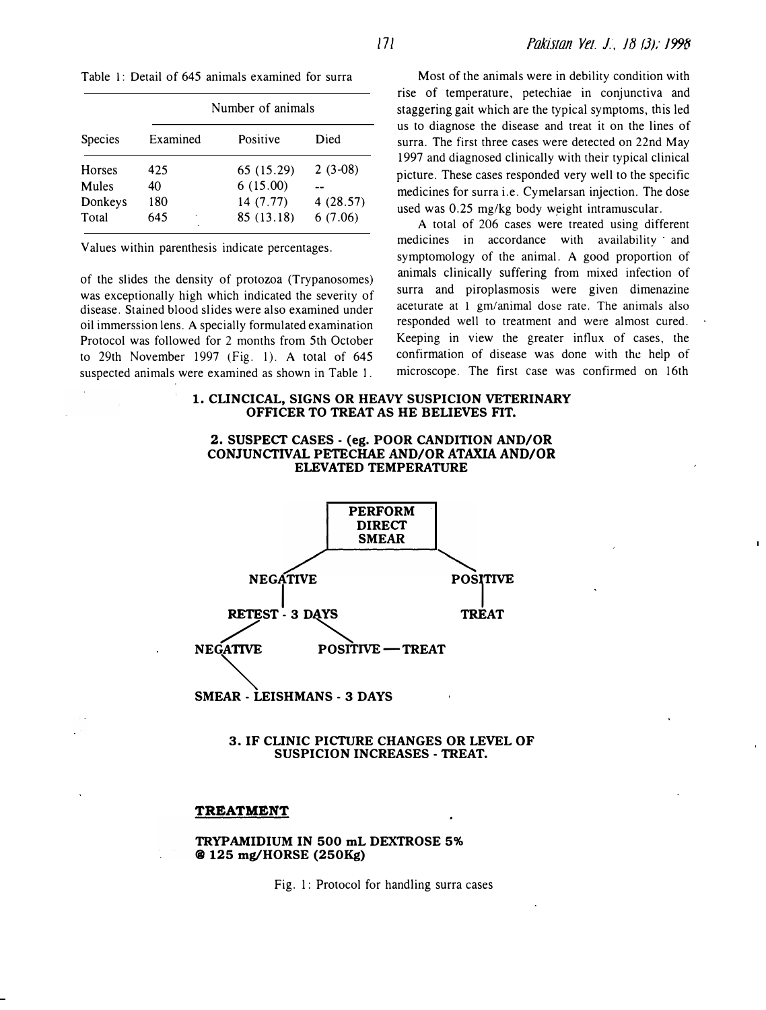|                                            |                              | Number of animals                                 |                                  |  |
|--------------------------------------------|------------------------------|---------------------------------------------------|----------------------------------|--|
| Species                                    | Examined                     | Positive                                          | Died                             |  |
| <b>Horses</b><br>Mules<br>Donkeys<br>Total | 425<br>40<br>180<br>645<br>٠ | 65 (15.29)<br>6(15.00)<br>14 (7.77)<br>85 (13.18) | $2(3-08)$<br>4(28.57)<br>6(7.06) |  |

Values within parenthesis indicate percentages.

of the slides the density of protozoa (Trypanosomes) was exceptionally high which indicated the severity of disease. Stained blood slides were also examined under oil immerssion lens. A specially formulated examination Protocol was followed for 2 months from 5th October to 29th November 1997 (fig. 1). A total of 645 suspected animals were examined as shown in Table I.

Table 1: Detail of 645 animals examined for surra Most of the animals were in debility condition with rise of temperature, petechiae in conjunctiva and staggering gait which are the typical symptoms, this led us to diagnose the disease and treat it on the lines of surra. The first three cases were detected on 22nd May 1997 and diagnosed clinically with their typical clinical picture. These cases responded very well to the specific medicines for surra i.e. Cymelarsan injection. The dose used was 0.25 mg/kg body weight intramuscular.

> A total of 206 cases were treated using different medicines in accordance with availability and symptomology of the animal. A good proportion of animals clinically suffering from mixed infection of surra and piroplasmosis were given dimenazine aceturate at 1 gm/animal dose rate. The animals also responded well to treatment and were almost cured. Keeping in view the greater influx of cases, the confirmation of disease was done with the help of microscope. The first case was confirmed on 16th

# 1. CUNCICAL, SIGNS OR HEAVY SUSPICION VETERINARY OFFICER TO TREAT AS HE BELIEVES FIT.

### 2. SUSPECT CASES- (eg. POOR CANDITION AND/OR CONJUNCTIVAL PETECHAE AND/OR ATAXIA AND/OR ELEVATED TEMPERATURE



#### 3. IF CLINIC PICTURE CHANGES OR LEVEL OF SUSPICION INCREASES - TREAT.

#### TREATMENT

### TRYPAMIDIUM IN 500 mL DEXTROSE 5% @ 125 mg/HORSE (250Kg)

Fig. 1: Protocol for handling surra cases